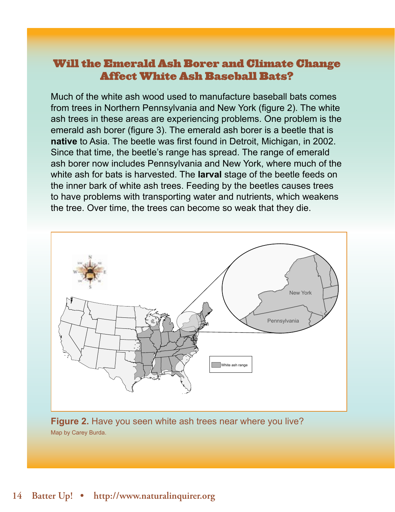## Will the Emerald Ash Borer and Climate Change Affect White Ash Baseball Bats?

Much of the white ash wood used to manufacture baseball bats comes from trees in Northern Pennsylvania and New York (figure 2). The white ash trees in these areas are experiencing problems. One problem is the emerald ash borer (figure 3). The emerald ash borer is a beetle that is **native** to Asia. The beetle was first found in Detroit, Michigan, in 2002. Since that time, the beetle's range has spread. The range of emerald ash borer now includes Pennsylvania and New York, where much of the white ash for bats is harvested. The **larval** stage of the beetle feeds on the inner bark of white ash trees. Feeding by the beetles causes trees to have problems with transporting water and nutrients, which weakens the tree. Over time, the trees can become so weak that they die.



**Figure 2.** Have you seen white ash trees near where you live? Map by Carey Burda.